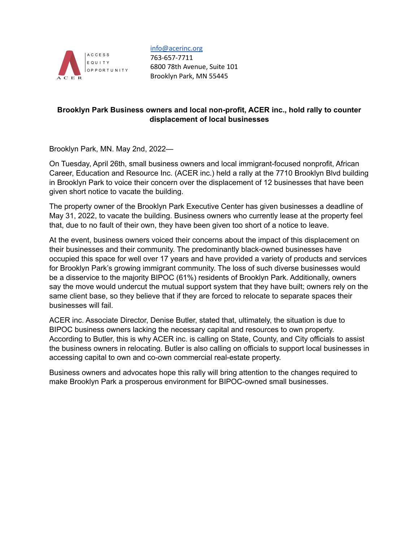

#### [info@acerinc.org](mailto:info@acerinc.org)

763-657-7711 6800 78th Avenue, Suite 101 Brooklyn Park, MN 55445

## **Brooklyn Park Business owners and local non-profit, ACER inc., hold rally to counter displacement of local businesses**

Brooklyn Park, MN. May 2nd, 2022—

On Tuesday, April 26th, small business owners and local immigrant-focused nonprofit, African Career, Education and Resource Inc. (ACER inc.) held a rally at the 7710 Brooklyn Blvd building in Brooklyn Park to voice their concern over the displacement of 12 businesses that have been given short notice to vacate the building.

The property owner of the Brooklyn Park Executive Center has given businesses a deadline of May 31, 2022, to vacate the building. Business owners who currently lease at the property feel that, due to no fault of their own, they have been given too short of a notice to leave.

At the event, business owners voiced their concerns about the impact of this displacement on their businesses and their community. The predominantly black-owned businesses have occupied this space for well over 17 years and have provided a variety of products and services for Brooklyn Park's growing immigrant community. The loss of such diverse businesses would be a disservice to the majority BIPOC (61%) residents of Brooklyn Park. Additionally, owners say the move would undercut the mutual support system that they have built; owners rely on the same client base, so they believe that if they are forced to relocate to separate spaces their businesses will fail.

ACER inc. Associate Director, Denise Butler, stated that, ultimately, the situation is due to BIPOC business owners lacking the necessary capital and resources to own property. According to Butler, this is why ACER inc. is calling on State, County, and City officials to assist the business owners in relocating. Butler is also calling on officials to support local businesses in accessing capital to own and co-own commercial real-estate property.

Business owners and advocates hope this rally will bring attention to the changes required to make Brooklyn Park a prosperous environment for BIPOC-owned small businesses.